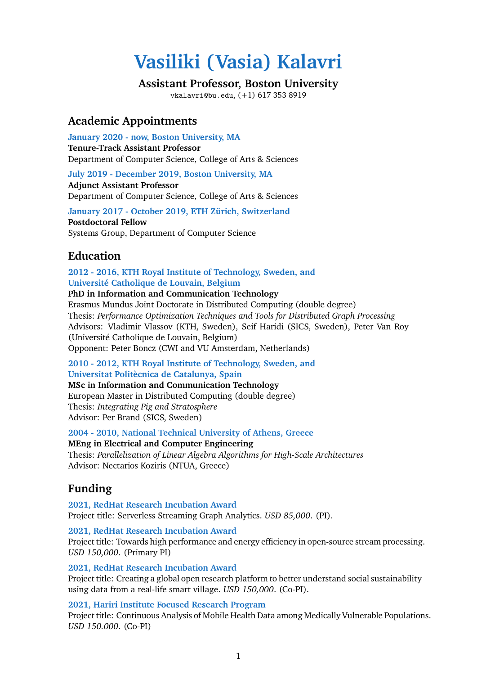# **Vasiliki (Vasia) Kalavri**

# **Assistant Professor, Boston University**

vkalavri@bu.edu, (+1) 617 353 8919

# **Academic Appointments**

**January 2020 - now, Boston University, MA Tenure-Track Assistant Professor** Department of Computer Science, College of Arts & Sciences

**July 2019 - December 2019, Boston University, MA Adjunct Assistant Professor** Department of Computer Science, College of Arts & Sciences

**January 2017 - October 2019, ETH Zürich, Switzerland Postdoctoral Fellow** Systems Group, Department of Computer Science

# **Education**

**2012 - 2016, KTH Royal Institute of Technology, Sweden, and Université Catholique de Louvain, Belgium**

**PhD in Information and Communication Technology**

Erasmus Mundus Joint Doctorate in Distributed Computing (double degree) Thesis: *Performance Optimization Techniques and Tools for Distributed Graph Processing* Advisors: Vladimir Vlassov (KTH, Sweden), Seif Haridi (SICS, Sweden), Peter Van Roy (Université Catholique de Louvain, Belgium) Opponent: Peter Boncz (CWI and VU Amsterdam, Netherlands)

**2010 - 2012, KTH Royal Institute of Technology, Sweden, and Universitat Politècnica de Catalunya, Spain**

**MSc in Information and Communication Technology** European Master in Distributed Computing (double degree) Thesis: *Integrating Pig and Stratosphere* Advisor: Per Brand (SICS, Sweden)

**2004 - 2010, National Technical University of Athens, Greece MEng in Electrical and Computer Engineering** Thesis: *Parallelization of Linear Algebra Algorithms for High-Scale Architectures* Advisor: Nectarios Koziris (NTUA, Greece)

# **Funding**

**2021, RedHat Research Incubation Award** Project title: Serverless Streaming Graph Analytics. *USD 85,000*. (PI).

**2021, RedHat Research Incubation Award** Project title: Towards high performance and energy efficiency in open-source stream processing. *USD 150,000*. (Primary PI)

**2021, RedHat Research Incubation Award** Project title: Creating a global open research platform to better understand social sustainability using data from a real-life smart village. *USD 150,000*. (Co-PI).

**2021, Hariri Institute Focused Research Program** Project title: Continuous Analysis of Mobile Health Data among Medically Vulnerable Populations. *USD 150.000*. (Co-PI)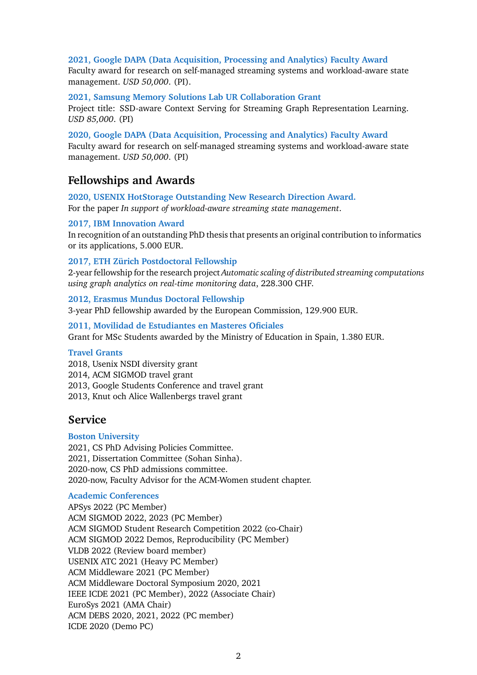#### **2021, Google DAPA (Data Acquisition, Processing and Analytics) Faculty Award**

Faculty award for research on self-managed streaming systems and workload-aware state management. *USD 50,000*. (PI).

**2021, Samsung Memory Solutions Lab UR Collaboration Grant**

Project title: SSD-aware Context Serving for Streaming Graph Representation Learning. *USD 85,000*. (PI)

**2020, Google DAPA (Data Acquisition, Processing and Analytics) Faculty Award** Faculty award for research on self-managed streaming systems and workload-aware state management. *USD 50,000*. (PI)

# **Fellowships and Awards**

**2020, USENIX HotStorage Outstanding New Research Direction Award.** For the paper *In support of workload-aware streaming state management*.

#### **2017, IBM Innovation Award**

In recognition of an outstanding PhD thesis that presents an original contribution to informatics or its applications, 5.000 EUR.

#### **2017, ETH Zürich Postdoctoral Fellowship**

2-year fellowship for the research project *Automatic scaling of distributed streaming computations using graph analytics on real-time monitoring data*, 228.300 CHF.

**2012, Erasmus Mundus Doctoral Fellowship** 3-year PhD fellowship awarded by the European Commission, 129.900 EUR.

**2011, Movilidad de Estudiantes en Masteres Oficiales** Grant for MSc Students awarded by the Ministry of Education in Spain, 1.380 EUR.

#### **Travel Grants**

2018, Usenix NSDI diversity grant 2014, ACM SIGMOD travel grant 2013, Google Students Conference and travel grant 2013, Knut och Alice Wallenbergs travel grant

# **Service**

#### **Boston University**

2021, CS PhD Advising Policies Committee. 2021, Dissertation Committee (Sohan Sinha). 2020-now, CS PhD admissions committee. 2020-now, Faculty Advisor for the ACM-Women student chapter.

#### **Academic Conferences**

APSys 2022 (PC Member) ACM SIGMOD 2022, 2023 (PC Member) ACM SIGMOD Student Research Competition 2022 (co-Chair) ACM SIGMOD 2022 Demos, Reproducibility (PC Member) VLDB 2022 (Review board member) USENIX ATC 2021 (Heavy PC Member) ACM Middleware 2021 (PC Member) ACM Middleware Doctoral Symposium 2020, 2021 IEEE ICDE 2021 (PC Member), 2022 (Associate Chair) EuroSys 2021 (AMA Chair) ACM DEBS 2020, 2021, 2022 (PC member) ICDE 2020 (Demo PC)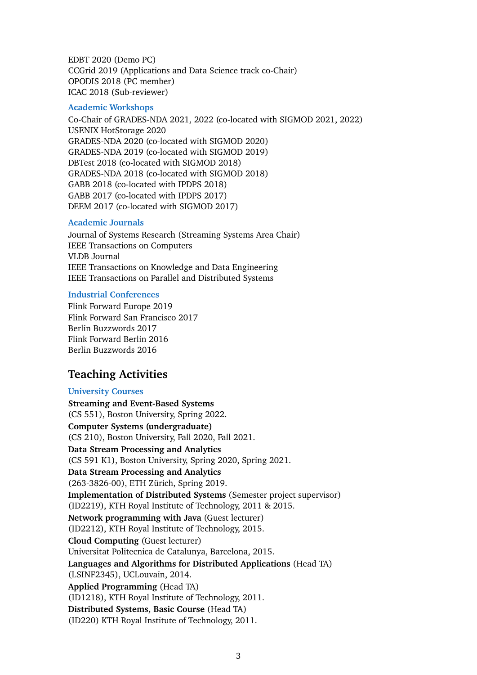EDBT 2020 (Demo PC) CCGrid 2019 (Applications and Data Science track co-Chair) OPODIS 2018 (PC member) ICAC 2018 (Sub-reviewer)

#### **Academic Workshops**

Co-Chair of GRADES-NDA 2021, 2022 (co-located with SIGMOD 2021, 2022) USENIX HotStorage 2020 GRADES-NDA 2020 (co-located with SIGMOD 2020) GRADES-NDA 2019 (co-located with SIGMOD 2019) DBTest 2018 (co-located with SIGMOD 2018) GRADES-NDA 2018 (co-located with SIGMOD 2018) GABB 2018 (co-located with IPDPS 2018) GABB 2017 (co-located with IPDPS 2017) DEEM 2017 (co-located with SIGMOD 2017)

#### **Academic Journals**

Journal of Systems Research (Streaming Systems Area Chair) IEEE Transactions on Computers VLDB Journal IEEE Transactions on Knowledge and Data Engineering IEEE Transactions on Parallel and Distributed Systems

#### **Industrial Conferences**

Flink Forward Europe 2019 Flink Forward San Francisco 2017 Berlin Buzzwords 2017 Flink Forward Berlin 2016 Berlin Buzzwords 2016

# **Teaching Activities**

#### **University Courses**

**Streaming and Event-Based Systems** (CS 551), Boston University, Spring 2022. **Computer Systems (undergraduate)** (CS 210), Boston University, Fall 2020, Fall 2021. **Data Stream Processing and Analytics** (CS 591 K1), Boston University, Spring 2020, Spring 2021. **Data Stream Processing and Analytics** (263-3826-00), ETH Zürich, Spring 2019. **Implementation of Distributed Systems** (Semester project supervisor) (ID2219), KTH Royal Institute of Technology, 2011 & 2015. **Network programming with Java** (Guest lecturer) (ID2212), KTH Royal Institute of Technology, 2015. **Cloud Computing** (Guest lecturer) Universitat Politecnica de Catalunya, Barcelona, 2015. **Languages and Algorithms for Distributed Applications** (Head TA) (LSINF2345), UCLouvain, 2014. **Applied Programming** (Head TA) (ID1218), KTH Royal Institute of Technology, 2011. **Distributed Systems, Basic Course** (Head TA) (ID220) KTH Royal Institute of Technology, 2011.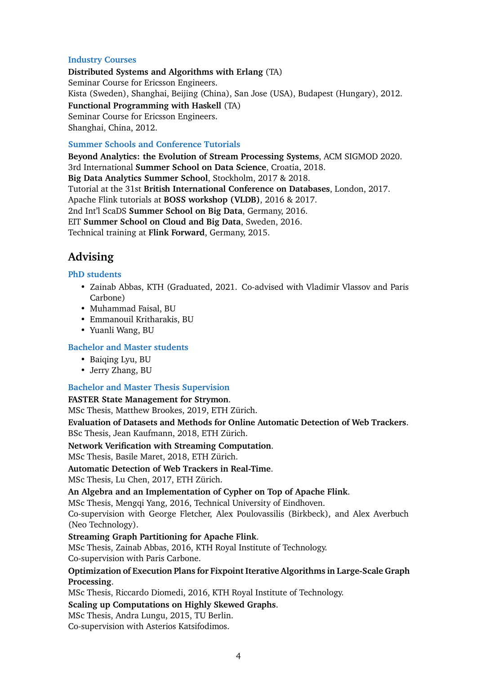#### **Industry Courses**

**Distributed Systems and Algorithms with Erlang** (TA) Seminar Course for Ericsson Engineers. Kista (Sweden), Shanghai, Beijing (China), San Jose (USA), Budapest (Hungary), 2012. **Functional Programming with Haskell** (TA) Seminar Course for Ericsson Engineers. Shanghai, China, 2012.

#### **Summer Schools and Conference Tutorials**

**Beyond Analytics: the Evolution of Stream Processing Systems**, ACM SIGMOD 2020. 3rd International **Summer School on Data Science**, Croatia, 2018. **Big Data Analytics Summer School**, Stockholm, 2017 & 2018. Tutorial at the 31st **British International Conference on Databases**, London, 2017. Apache Flink tutorials at **BOSS workshop (VLDB)**, 2016 & 2017. 2nd Int'l ScaDS **Summer School on Big Data**, Germany, 2016. EIT **Summer School on Cloud and Big Data**, Sweden, 2016. Technical training at **Flink Forward**, Germany, 2015.

# **Advising**

#### **PhD students**

- Zainab Abbas, KTH (Graduated, 2021. Co-advised with Vladimir Vlassov and Paris Carbone)
- Muhammad Faisal, BU
- Emmanouil Kritharakis, BU
- Yuanli Wang, BU

## **Bachelor and Master students**

- Baiqing Lyu, BU
- Jerry Zhang, BU

## **Bachelor and Master Thesis Supervision**

#### **FASTER State Management for Strymon**.

MSc Thesis, Matthew Brookes, 2019, ETH Zürich.

**Evaluation of Datasets and Methods for Online Automatic Detection of Web Trackers**. BSc Thesis, Jean Kaufmann, 2018, ETH Zürich.

## **Network Verification with Streaming Computation**.

MSc Thesis, Basile Maret, 2018, ETH Zürich.

## **Automatic Detection of Web Trackers in Real-Time**.

MSc Thesis, Lu Chen, 2017, ETH Zürich.

#### **An Algebra and an Implementation of Cypher on Top of Apache Flink**.

MSc Thesis, Mengqi Yang, 2016, Technical University of Eindhoven.

Co-supervision with George Fletcher, Alex Poulovassilis (Birkbeck), and Alex Averbuch (Neo Technology).

## **Streaming Graph Partitioning for Apache Flink**.

MSc Thesis, Zainab Abbas, 2016, KTH Royal Institute of Technology.

Co-supervision with Paris Carbone.

# **Optimization of Execution Plans for Fixpoint Iterative Algorithms in Large-Scale Graph Processing**.

MSc Thesis, Riccardo Diomedi, 2016, KTH Royal Institute of Technology.

## **Scaling up Computations on Highly Skewed Graphs**.

#### MSc Thesis, Andra Lungu, 2015, TU Berlin.

Co-supervision with Asterios Katsifodimos.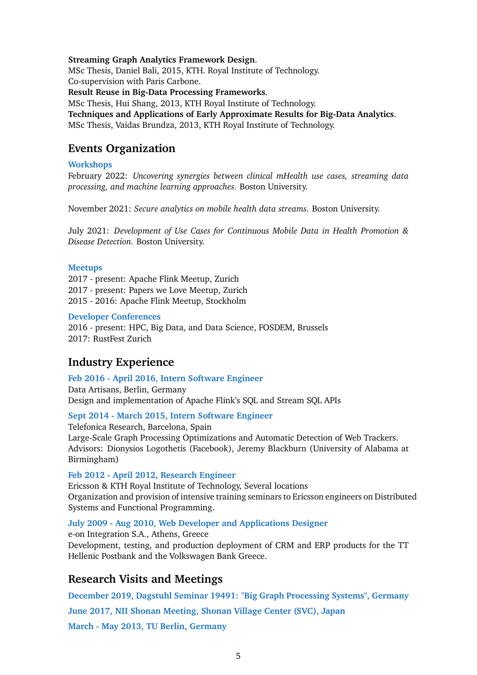#### **Streaming Graph Analytics Framework Design**.

MSc Thesis, Daniel Bali, 2015, KTH. Royal Institute of Technology.

Co-supervision with Paris Carbone.

**Result Reuse in Big-Data Processing Frameworks**.

MSc Thesis, Hui Shang, 2013, KTH Royal Institute of Technology.

**Techniques and Applications of Early Approximate Results for Big-Data Analytics**.

MSc Thesis, Vaidas Brundza, 2013, KTH Royal Institute of Technology.

# **Events Organization**

## **Workshops**

February 2022: *Uncovering synergies between clinical mHealth use cases, streaming data processing, and machine learning approaches.* Boston University.

November 2021: *Secure analytics on mobile health data streams.* Boston University.

July 2021: *Development of Use Cases for Continuous Mobile Data in Health Promotion & Disease Detection.* Boston University.

#### **Meetups**

2017 - present: Apache Flink Meetup, Zurich 2017 - present: Papers we Love Meetup, Zurich 2015 - 2016: Apache Flink Meetup, Stockholm

#### **Developer Conferences**

2016 - present: HPC, Big Data, and Data Science, FOSDEM, Brussels 2017: RustFest Zurich

# **Industry Experience**

## **Feb 2016 - April 2016, Intern Software Engineer**

Data Artisans, Berlin, Germany Design and implementation of Apache Flink's SQL and Stream SQL APIs

## **Sept 2014 - March 2015, Intern Software Engineer**

Telefonica Research, Barcelona, Spain Large-Scale Graph Processing Optimizations and Automatic Detection of Web Trackers. Advisors: Dionysios Logothetis (Facebook), Jeremy Blackburn (University of Alabama at Birmingham)

## **Feb 2012 - April 2012, Research Engineer**

Ericsson & KTH Royal Institute of Technology, Several locations Organization and provision of intensive training seminars to Ericsson engineers on Distributed Systems and Functional Programming.

## **July 2009 - Aug 2010, Web Developer and Applications Designer**

e-on Integration S.A., Athens, Greece Development, testing, and production deployment of CRM and ERP products for the TT Hellenic Postbank and the Volkswagen Bank Greece.

# **Research Visits and Meetings**

**December 2019, Dagstuhl Seminar 19491: "Big Graph Processing Systems", Germany June 2017, NII Shonan Meeting, Shonan Village Center (SVC), Japan March - May 2013, TU Berlin, Germany**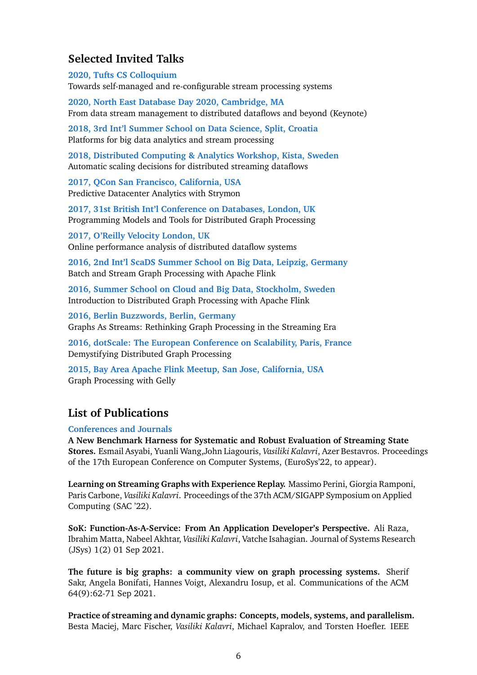# **Selected Invited Talks**

**2020, Tufts CS Colloquium**

Towards self-managed and re-configurable stream processing systems

**2020, North East Database Day 2020, Cambridge, MA** From data stream management to distributed dataflows and beyond (Keynote)

**2018, 3rd Int'l Summer School on Data Science, Split, Croatia** Platforms for big data analytics and stream processing

**2018, Distributed Computing & Analytics Workshop, Kista, Sweden** Automatic scaling decisions for distributed streaming dataflows

**2017, QCon San Francisco, California, USA** Predictive Datacenter Analytics with Strymon

**2017, 31st British Int'l Conference on Databases, London, UK** Programming Models and Tools for Distributed Graph Processing

**2017, O'Reilly Velocity London, UK** Online performance analysis of distributed dataflow systems

**2016, 2nd Int'l ScaDS Summer School on Big Data, Leipzig, Germany** Batch and Stream Graph Processing with Apache Flink

**2016, Summer School on Cloud and Big Data, Stockholm, Sweden** Introduction to Distributed Graph Processing with Apache Flink

**2016, Berlin Buzzwords, Berlin, Germany** Graphs As Streams: Rethinking Graph Processing in the Streaming Era

**2016, dotScale: The European Conference on Scalability, Paris, France** Demystifying Distributed Graph Processing

**2015, Bay Area Apache Flink Meetup, San Jose, California, USA** Graph Processing with Gelly

# **List of Publications**

**Conferences and Journals**

**A New Benchmark Harness for Systematic and Robust Evaluation of Streaming State Stores.** Esmail Asyabi, Yuanli Wang,John Liagouris, *Vasiliki Kalavri*, Azer Bestavros. Proceedings of the 17th European Conference on Computer Systems, (EuroSys'22, to appear).

**Learning on Streaming Graphs with Experience Replay.** Massimo Perini, Giorgia Ramponi, Paris Carbone, *Vasiliki Kalavri*. Proceedings of the 37th ACM/SIGAPP Symposium on Applied Computing (SAC '22).

**SoK: Function-As-A-Service: From An Application Developer's Perspective.** Ali Raza, Ibrahim Matta, Nabeel Akhtar, *Vasiliki Kalavri*, Vatche Isahagian. Journal of Systems Research (JSys) 1(2) 01 Sep 2021.

**The future is big graphs: a community view on graph processing systems.** Sherif Sakr, Angela Bonifati, Hannes Voigt, Alexandru Iosup, et al. Communications of the ACM 64(9):62-71 Sep 2021.

**Practice of streaming and dynamic graphs: Concepts, models, systems, and parallelism.** Besta Maciej, Marc Fischer, *Vasiliki Kalavri*, Michael Kapralov, and Torsten Hoefler. IEEE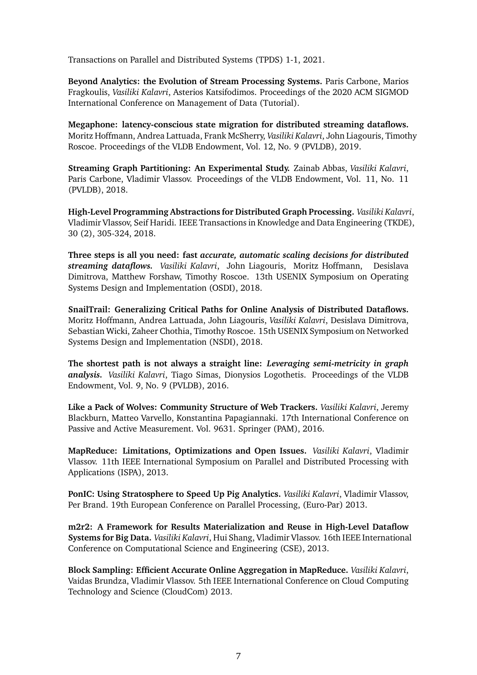Transactions on Parallel and Distributed Systems (TPDS) 1-1, 2021.

**Beyond Analytics: the Evolution of Stream Processing Systems.** Paris Carbone, Marios Fragkoulis, *Vasiliki Kalavri*, Asterios Katsifodimos. Proceedings of the 2020 ACM SIGMOD International Conference on Management of Data (Tutorial).

**Megaphone: latency-conscious state migration for distributed streaming dataflows.** Moritz Hoffmann, Andrea Lattuada, Frank McSherry, *Vasiliki Kalavri*, John Liagouris, Timothy Roscoe. Proceedings of the VLDB Endowment, Vol. 12, No. 9 (PVLDB), 2019.

**Streaming Graph Partitioning: An Experimental Study.** Zainab Abbas, *Vasiliki Kalavri*, Paris Carbone, Vladimir Vlassov. Proceedings of the VLDB Endowment, Vol. 11, No. 11 (PVLDB), 2018.

**High-Level Programming Abstractions for Distributed Graph Processing.** *Vasiliki Kalavri*, Vladimir Vlassov, Seif Haridi. IEEE Transactions in Knowledge and Data Engineering (TKDE), 30 (2), 305-324, 2018.

**Three steps is all you need: fast** *accurate, automatic scaling decisions for distributed streaming dataflows. Vasiliki Kalavri*, John Liagouris, Moritz Hoffmann, Desislava Dimitrova, Matthew Forshaw, Timothy Roscoe. 13th USENIX Symposium on Operating Systems Design and Implementation (OSDI), 2018.

**SnailTrail: Generalizing Critical Paths for Online Analysis of Distributed Dataflows.** Moritz Hoffmann, Andrea Lattuada, John Liagouris, *Vasiliki Kalavri*, Desislava Dimitrova, Sebastian Wicki, Zaheer Chothia, Timothy Roscoe. 15th USENIX Symposium on Networked Systems Design and Implementation (NSDI), 2018.

**The shortest path is not always a straight line:** *Leveraging semi-metricity in graph analysis. Vasiliki Kalavri*, Tiago Simas, Dionysios Logothetis. Proceedings of the VLDB Endowment, Vol. 9, No. 9 (PVLDB), 2016.

**Like a Pack of Wolves: Community Structure of Web Trackers.** *Vasiliki Kalavri*, Jeremy Blackburn, Matteo Varvello, Konstantina Papagiannaki. 17th International Conference on Passive and Active Measurement. Vol. 9631. Springer (PAM), 2016.

**MapReduce: Limitations, Optimizations and Open Issues.** *Vasiliki Kalavri*, Vladimir Vlassov. 11th IEEE International Symposium on Parallel and Distributed Processing with Applications (ISPA), 2013.

**PonIC: Using Stratosphere to Speed Up Pig Analytics.** *Vasiliki Kalavri*, Vladimir Vlassov, Per Brand. 19th European Conference on Parallel Processing, (Euro-Par) 2013.

**m2r2: A Framework for Results Materialization and Reuse in High-Level Dataflow Systems for Big Data.** *Vasiliki Kalavri*, Hui Shang, Vladimir Vlassov. 16th IEEE International Conference on Computational Science and Engineering (CSE), 2013.

**Block Sampling: Efficient Accurate Online Aggregation in MapReduce.** *Vasiliki Kalavri*, Vaidas Brundza, Vladimir Vlassov. 5th IEEE International Conference on Cloud Computing Technology and Science (CloudCom) 2013.